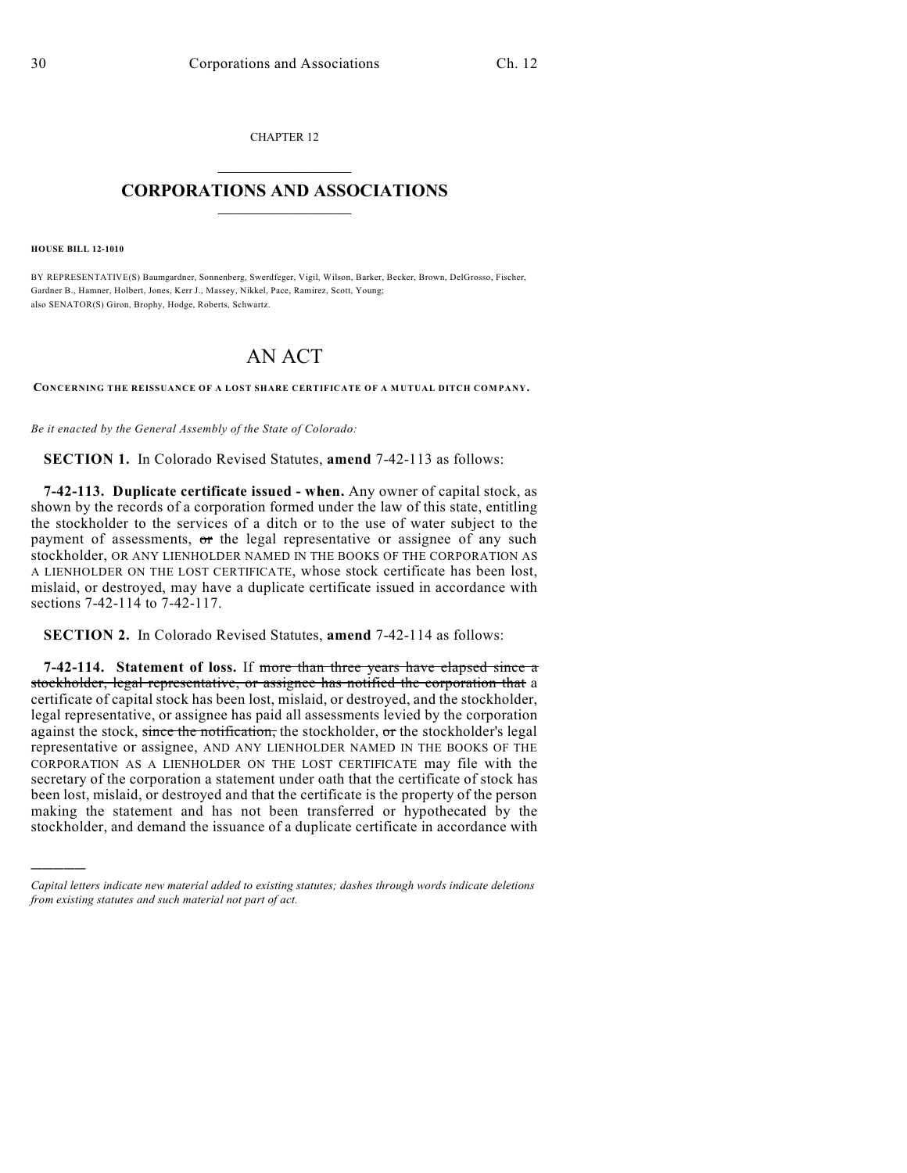CHAPTER 12  $\mathcal{L}_\text{max}$  . The set of the set of the set of the set of the set of the set of the set of the set of the set of the set of the set of the set of the set of the set of the set of the set of the set of the set of the set

## **CORPORATIONS AND ASSOCIATIONS**  $\_$   $\_$   $\_$   $\_$   $\_$   $\_$   $\_$   $\_$   $\_$

**HOUSE BILL 12-1010**

)))))

BY REPRESENTATIVE(S) Baumgardner, Sonnenberg, Swerdfeger, Vigil, Wilson, Barker, Becker, Brown, DelGrosso, Fischer, Gardner B., Hamner, Holbert, Jones, Kerr J., Massey, Nikkel, Pace, Ramirez, Scott, Young; also SENATOR(S) Giron, Brophy, Hodge, Roberts, Schwartz.

## AN ACT

**CONCERNING THE REISSUANCE OF A LOST SHARE CERTIFICATE OF A MUTUAL DITCH COMPANY.**

*Be it enacted by the General Assembly of the State of Colorado:*

**SECTION 1.** In Colorado Revised Statutes, **amend** 7-42-113 as follows:

**7-42-113. Duplicate certificate issued - when.** Any owner of capital stock, as shown by the records of a corporation formed under the law of this state, entitling the stockholder to the services of a ditch or to the use of water subject to the payment of assessments,  $\sigma$ r the legal representative or assignee of any such stockholder, OR ANY LIENHOLDER NAMED IN THE BOOKS OF THE CORPORATION AS A LIENHOLDER ON THE LOST CERTIFICATE, whose stock certificate has been lost, mislaid, or destroyed, may have a duplicate certificate issued in accordance with sections 7-42-114 to 7-42-117.

**SECTION 2.** In Colorado Revised Statutes, **amend** 7-42-114 as follows:

**7-42-114. Statement of loss.** If more than three years have elapsed since a stockholder, legal representative, or assignee has notified the corporation that a certificate of capital stock has been lost, mislaid, or destroyed, and the stockholder, legal representative, or assignee has paid all assessments levied by the corporation against the stock, since the notification, the stockholder, or the stockholder's legal representative or assignee, AND ANY LIENHOLDER NAMED IN THE BOOKS OF THE CORPORATION AS A LIENHOLDER ON THE LOST CERTIFICATE may file with the secretary of the corporation a statement under oath that the certificate of stock has been lost, mislaid, or destroyed and that the certificate is the property of the person making the statement and has not been transferred or hypothecated by the stockholder, and demand the issuance of a duplicate certificate in accordance with

*Capital letters indicate new material added to existing statutes; dashes through words indicate deletions from existing statutes and such material not part of act.*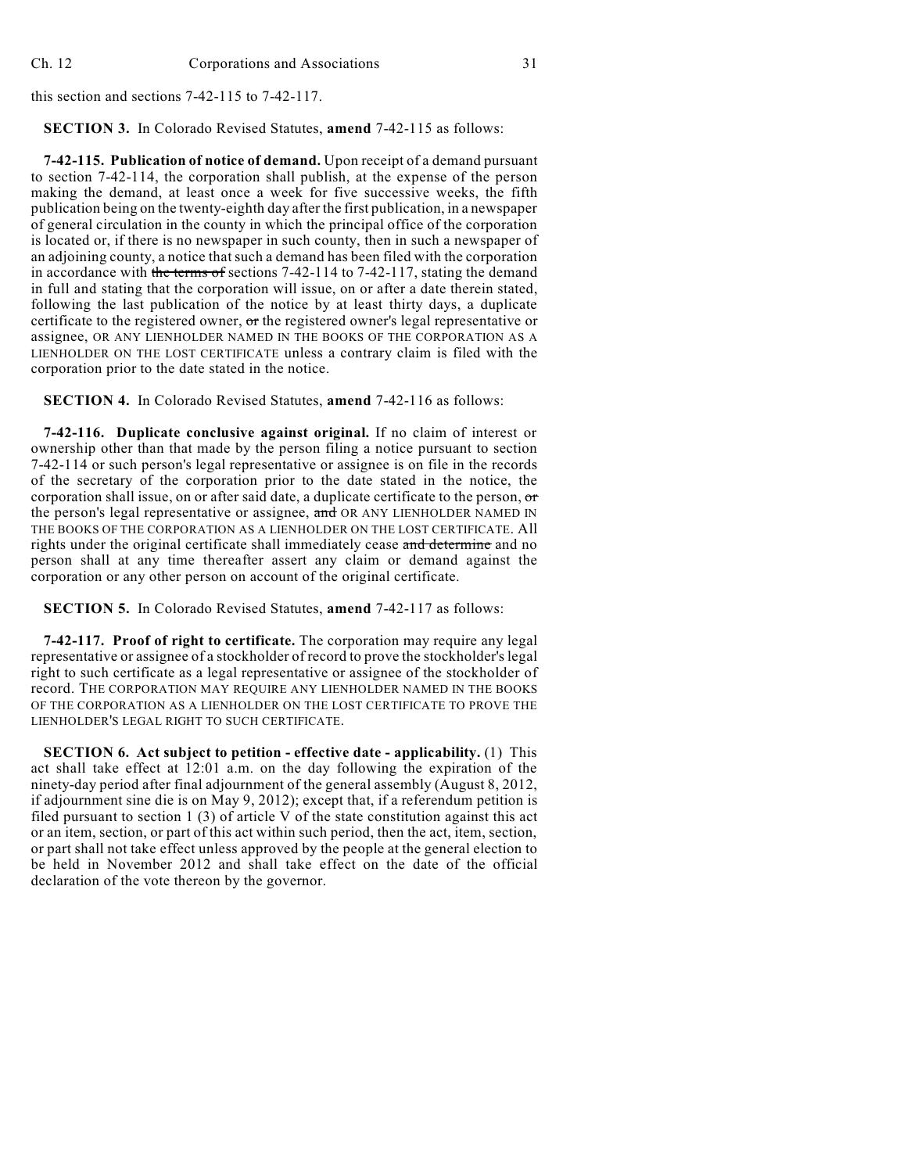this section and sections 7-42-115 to 7-42-117.

**SECTION 3.** In Colorado Revised Statutes, **amend** 7-42-115 as follows:

**7-42-115. Publication of notice of demand.** Upon receipt of a demand pursuant to section 7-42-114, the corporation shall publish, at the expense of the person making the demand, at least once a week for five successive weeks, the fifth publication being on the twenty-eighth day after the first publication, in a newspaper of general circulation in the county in which the principal office of the corporation is located or, if there is no newspaper in such county, then in such a newspaper of an adjoining county, a notice that such a demand has been filed with the corporation in accordance with the terms of sections 7-42-114 to 7-42-117, stating the demand in full and stating that the corporation will issue, on or after a date therein stated, following the last publication of the notice by at least thirty days, a duplicate certificate to the registered owner, or the registered owner's legal representative or assignee, OR ANY LIENHOLDER NAMED IN THE BOOKS OF THE CORPORATION AS A LIENHOLDER ON THE LOST CERTIFICATE unless a contrary claim is filed with the corporation prior to the date stated in the notice.

**SECTION 4.** In Colorado Revised Statutes, **amend** 7-42-116 as follows:

**7-42-116. Duplicate conclusive against original.** If no claim of interest or ownership other than that made by the person filing a notice pursuant to section 7-42-114 or such person's legal representative or assignee is on file in the records of the secretary of the corporation prior to the date stated in the notice, the corporation shall issue, on or after said date, a duplicate certificate to the person, or the person's legal representative or assignee, and OR ANY LIENHOLDER NAMED IN THE BOOKS OF THE CORPORATION AS A LIENHOLDER ON THE LOST CERTIFICATE. All rights under the original certificate shall immediately cease and determine and no person shall at any time thereafter assert any claim or demand against the corporation or any other person on account of the original certificate.

**SECTION 5.** In Colorado Revised Statutes, **amend** 7-42-117 as follows:

**7-42-117. Proof of right to certificate.** The corporation may require any legal representative or assignee of a stockholder of record to prove the stockholder's legal right to such certificate as a legal representative or assignee of the stockholder of record. THE CORPORATION MAY REQUIRE ANY LIENHOLDER NAMED IN THE BOOKS OF THE CORPORATION AS A LIENHOLDER ON THE LOST CERTIFICATE TO PROVE THE LIENHOLDER'S LEGAL RIGHT TO SUCH CERTIFICATE.

**SECTION 6. Act subject to petition - effective date - applicability.** (1) This act shall take effect at 12:01 a.m. on the day following the expiration of the ninety-day period after final adjournment of the general assembly (August 8, 2012, if adjournment sine die is on May 9, 2012); except that, if a referendum petition is filed pursuant to section 1 (3) of article V of the state constitution against this act or an item, section, or part of this act within such period, then the act, item, section, or part shall not take effect unless approved by the people at the general election to be held in November 2012 and shall take effect on the date of the official declaration of the vote thereon by the governor.